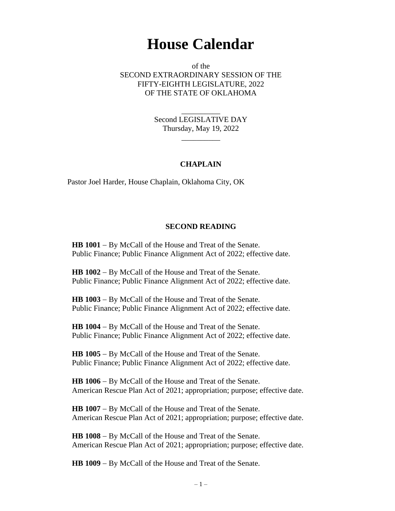## **House Calendar**

of the SECOND EXTRAORDINARY SESSION OF THE FIFTY-EIGHTH LEGISLATURE, 2022 OF THE STATE OF OKLAHOMA

> Second LEGISLATIVE DAY Thursday, May 19, 2022

> > $\overline{\phantom{a}}$

\_\_\_\_\_\_\_\_\_\_

## **CHAPLAIN**

Pastor Joel Harder, House Chaplain, Oklahoma City, OK

## **SECOND READING**

**HB 1001** − By McCall of the House and Treat of the Senate. Public Finance; Public Finance Alignment Act of 2022; effective date.

**HB 1002** − By McCall of the House and Treat of the Senate. Public Finance; Public Finance Alignment Act of 2022; effective date.

**HB 1003** − By McCall of the House and Treat of the Senate. Public Finance; Public Finance Alignment Act of 2022; effective date.

**HB 1004** − By McCall of the House and Treat of the Senate. Public Finance; Public Finance Alignment Act of 2022; effective date.

**HB 1005** − By McCall of the House and Treat of the Senate. Public Finance; Public Finance Alignment Act of 2022; effective date.

**HB 1006** − By McCall of the House and Treat of the Senate. American Rescue Plan Act of 2021; appropriation; purpose; effective date.

**HB 1007** − By McCall of the House and Treat of the Senate. American Rescue Plan Act of 2021; appropriation; purpose; effective date.

**HB 1008** − By McCall of the House and Treat of the Senate. American Rescue Plan Act of 2021; appropriation; purpose; effective date.

**HB 1009** − By McCall of the House and Treat of the Senate.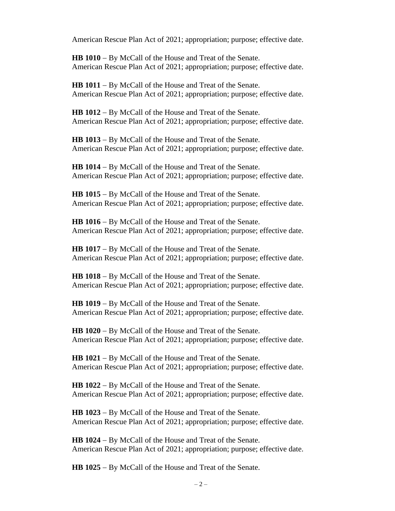American Rescue Plan Act of 2021; appropriation; purpose; effective date.

**HB 1010** − By McCall of the House and Treat of the Senate. American Rescue Plan Act of 2021; appropriation; purpose; effective date.

**HB 1011** − By McCall of the House and Treat of the Senate. American Rescue Plan Act of 2021; appropriation; purpose; effective date.

**HB 1012** − By McCall of the House and Treat of the Senate. American Rescue Plan Act of 2021; appropriation; purpose; effective date.

**HB 1013** − By McCall of the House and Treat of the Senate. American Rescue Plan Act of 2021; appropriation; purpose; effective date.

**HB 1014** − By McCall of the House and Treat of the Senate. American Rescue Plan Act of 2021; appropriation; purpose; effective date.

**HB 1015** − By McCall of the House and Treat of the Senate. American Rescue Plan Act of 2021; appropriation; purpose; effective date.

**HB 1016** − By McCall of the House and Treat of the Senate. American Rescue Plan Act of 2021; appropriation; purpose; effective date.

**HB 1017** − By McCall of the House and Treat of the Senate. American Rescue Plan Act of 2021; appropriation; purpose; effective date.

**HB 1018** − By McCall of the House and Treat of the Senate. American Rescue Plan Act of 2021; appropriation; purpose; effective date.

**HB 1019** − By McCall of the House and Treat of the Senate. American Rescue Plan Act of 2021; appropriation; purpose; effective date.

**HB 1020** − By McCall of the House and Treat of the Senate. American Rescue Plan Act of 2021; appropriation; purpose; effective date.

**HB 1021** − By McCall of the House and Treat of the Senate. American Rescue Plan Act of 2021; appropriation; purpose; effective date.

**HB 1022** − By McCall of the House and Treat of the Senate. American Rescue Plan Act of 2021; appropriation; purpose; effective date.

**HB 1023** − By McCall of the House and Treat of the Senate. American Rescue Plan Act of 2021; appropriation; purpose; effective date.

**HB 1024** − By McCall of the House and Treat of the Senate. American Rescue Plan Act of 2021; appropriation; purpose; effective date.

**HB 1025** − By McCall of the House and Treat of the Senate.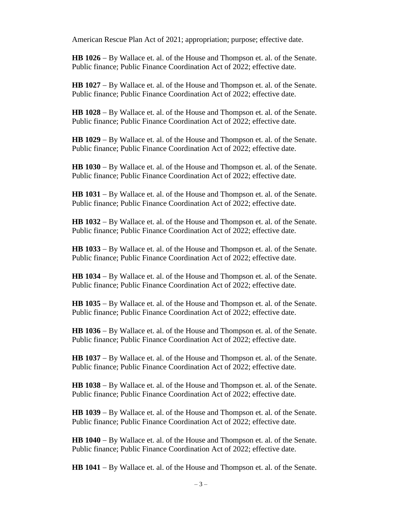American Rescue Plan Act of 2021; appropriation; purpose; effective date.

**HB 1026** − By Wallace et. al. of the House and Thompson et. al. of the Senate. Public finance; Public Finance Coordination Act of 2022; effective date.

**HB 1027** − By Wallace et. al. of the House and Thompson et. al. of the Senate. Public finance; Public Finance Coordination Act of 2022; effective date.

**HB 1028** − By Wallace et. al. of the House and Thompson et. al. of the Senate. Public finance; Public Finance Coordination Act of 2022; effective date.

**HB 1029** − By Wallace et. al. of the House and Thompson et. al. of the Senate. Public finance; Public Finance Coordination Act of 2022; effective date.

**HB 1030** − By Wallace et. al. of the House and Thompson et. al. of the Senate. Public finance; Public Finance Coordination Act of 2022; effective date.

**HB 1031** − By Wallace et. al. of the House and Thompson et. al. of the Senate. Public finance; Public Finance Coordination Act of 2022; effective date.

**HB 1032** − By Wallace et. al. of the House and Thompson et. al. of the Senate. Public finance; Public Finance Coordination Act of 2022; effective date.

**HB 1033** − By Wallace et. al. of the House and Thompson et. al. of the Senate. Public finance; Public Finance Coordination Act of 2022; effective date.

**HB 1034** − By Wallace et. al. of the House and Thompson et. al. of the Senate. Public finance; Public Finance Coordination Act of 2022; effective date.

**HB 1035** − By Wallace et. al. of the House and Thompson et. al. of the Senate. Public finance; Public Finance Coordination Act of 2022; effective date.

**HB 1036** − By Wallace et. al. of the House and Thompson et. al. of the Senate. Public finance; Public Finance Coordination Act of 2022; effective date.

**HB 1037** − By Wallace et. al. of the House and Thompson et. al. of the Senate. Public finance; Public Finance Coordination Act of 2022; effective date.

**HB 1038** − By Wallace et. al. of the House and Thompson et. al. of the Senate. Public finance; Public Finance Coordination Act of 2022; effective date.

**HB 1039** − By Wallace et. al. of the House and Thompson et. al. of the Senate. Public finance; Public Finance Coordination Act of 2022; effective date.

**HB 1040** − By Wallace et. al. of the House and Thompson et. al. of the Senate. Public finance; Public Finance Coordination Act of 2022; effective date.

**HB 1041** − By Wallace et. al. of the House and Thompson et. al. of the Senate.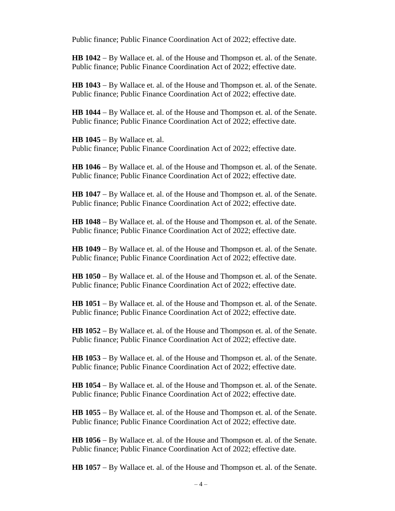Public finance; Public Finance Coordination Act of 2022; effective date.

**HB 1042** − By Wallace et. al. of the House and Thompson et. al. of the Senate. Public finance; Public Finance Coordination Act of 2022; effective date.

**HB 1043** − By Wallace et. al. of the House and Thompson et. al. of the Senate. Public finance; Public Finance Coordination Act of 2022; effective date.

**HB 1044** − By Wallace et. al. of the House and Thompson et. al. of the Senate. Public finance; Public Finance Coordination Act of 2022; effective date.

**HB 1045** − By Wallace et. al. Public finance; Public Finance Coordination Act of 2022; effective date.

**HB 1046** − By Wallace et. al. of the House and Thompson et. al. of the Senate. Public finance; Public Finance Coordination Act of 2022; effective date.

**HB 1047** − By Wallace et. al. of the House and Thompson et. al. of the Senate. Public finance; Public Finance Coordination Act of 2022; effective date.

**HB 1048** − By Wallace et. al. of the House and Thompson et. al. of the Senate. Public finance; Public Finance Coordination Act of 2022; effective date.

**HB 1049** − By Wallace et. al. of the House and Thompson et. al. of the Senate. Public finance; Public Finance Coordination Act of 2022; effective date.

**HB 1050** − By Wallace et. al. of the House and Thompson et. al. of the Senate. Public finance; Public Finance Coordination Act of 2022; effective date.

**HB 1051** − By Wallace et. al. of the House and Thompson et. al. of the Senate. Public finance; Public Finance Coordination Act of 2022; effective date.

**HB 1052** − By Wallace et. al. of the House and Thompson et. al. of the Senate. Public finance; Public Finance Coordination Act of 2022; effective date.

**HB 1053** − By Wallace et. al. of the House and Thompson et. al. of the Senate. Public finance; Public Finance Coordination Act of 2022; effective date.

**HB 1054** − By Wallace et. al. of the House and Thompson et. al. of the Senate. Public finance; Public Finance Coordination Act of 2022; effective date.

**HB 1055** − By Wallace et. al. of the House and Thompson et. al. of the Senate. Public finance; Public Finance Coordination Act of 2022; effective date.

**HB 1056** − By Wallace et. al. of the House and Thompson et. al. of the Senate. Public finance; Public Finance Coordination Act of 2022; effective date.

**HB 1057** − By Wallace et. al. of the House and Thompson et. al. of the Senate.